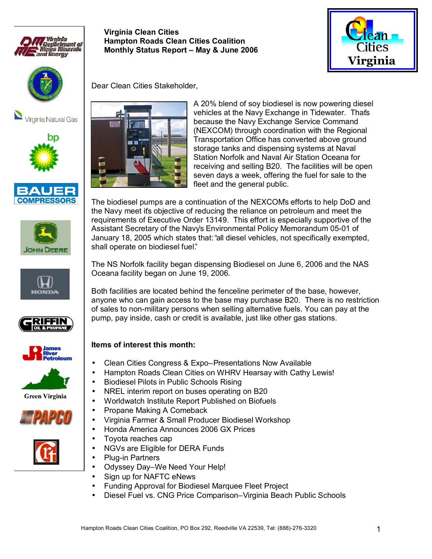

# **Hampton Roads Clean Cities Coalition Monthly Status Report - May & June 2006**

**Virginia Clean Cities** 





Virginia Natural Gas



















Dear Clean Cities Stakeholder,



A 20% blend of soy biodiesel is now powering diesel vehicles at the Navy Exchange in Tidewater. That's because the Navy Exchange Service Command (NEXCOM) through coordination with the Regional Transportation Office has converted above ground storage tanks and dispensing systems at Naval Station Norfolk and Naval Air Station Oceana for receiving and selling B20. The facilities will be open seven days a week, offering the fuel for sale to the fleet and the general public.

The biodiesel pumps are a continuation of the NEXCOMís efforts to help DoD and the Navy meet itís objective of reducing the reliance on petroleum and meet the requirements of Executive Order 13149. This effort is especially supportive of the Assistant Secretary of the Navyís Environmental Policy Memorandum 05-01 of January 18, 2005 which states that: "all diesel vehicles, not specifically exempted, shall operate on biodiesel fuel."

The NS Norfolk facility began dispensing Biodiesel on June 6, 2006 and the NAS Oceana facility began on June 19, 2006.

Both facilities are located behind the fenceline perimeter of the base, however, anyone who can gain access to the base may purchase B20. There is no restriction of sales to non-military persons when selling alternative fuels. You can pay at the pump, pay inside, cash or credit is available, just like other gas stations.

#### **Items of interest this month:**

- Clean Cities Congress & Expo-Presentations Now Available
- Hampton Roads Clean Cities on WHRV Hearsay with Cathy Lewis!
- Biodiesel Pilots in Public Schools Rising
- NREL interim report on buses operating on B20
- Worldwatch Institute Report Published on Biofuels
- Propane Making A Comeback
- Virginia Farmer & Small Producer Biodiesel Workshop
- Honda America Announces 2006 GX Prices
- Toyota reaches cap
- NGVs are Eligible for DERA Funds
- Plug-in Partners
- Odyssey Day-We Need Your Help!
- Sign up for NAFTC eNews
- Funding Approval for Biodiesel Marquee Fleet Project
- Diesel Fuel vs. CNG Price Comparison-Virginia Beach Public Schools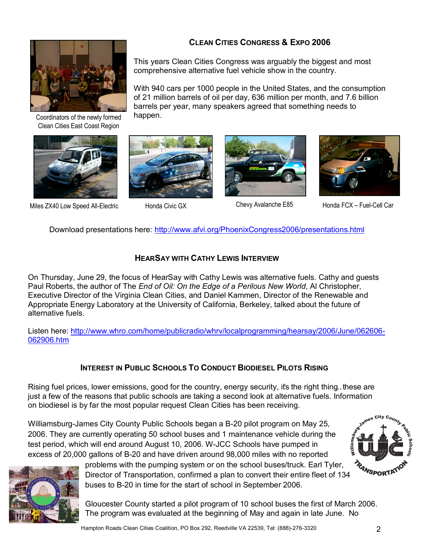

Coordinators of the newly formed Clean Cities East Coast Region



Miles ZX40 Low Speed All-Electric Honda Civic GX Chevy Avalanche E85 Honda FCX – Fuel-Cell Car

## **CLEAN CITIES CONGRESS & EXPO 2006**

This years Clean Cities Congress was arguably the biggest and most comprehensive alternative fuel vehicle show in the country.

With 940 cars per 1000 people in the United States, and the consumption of 21 million barrels of oil per day, 636 million per month, and 7.6 billion barrels per year, many speakers agreed that something needs to happen.





Download presentations here: http://www.afvi.org/PhoenixCongress2006/presentations.html

## **HEARSAY WITH CATHY LEWIS INTERVIEW**

On Thursday, June 29, the focus of HearSay with Cathy Lewis was alternative fuels. Cathy and guests Paul Roberts, the author of The *End of Oil: On the Edge of a Perilous New World*, Al Christopher, Executive Director of the Virginia Clean Cities, and Daniel Kammen, Director of the Renewable and Appropriate Energy Laboratory at the University of California, Berkeley, talked about the future of alternative fuels.

Listen here: http://www.whro.com/home/publicradio/whrv/localprogramming/hearsay/2006/June/062606- 062906.htm

## **INTEREST IN PUBLIC SCHOOLS TO CONDUCT BIODIESEL PILOTS RISING**

Rising fuel prices, lower emissions, good for the country, energy security, its the right thing. these are just a few of the reasons that public schools are taking a second look at alternative fuels. Information on biodiesel is by far the most popular request Clean Cities has been receiving.

Williamsburg-James City County Public Schools began a B-20 pilot program on May 25, 2006. They are currently operating 50 school buses and 1 maintenance vehicle during the test period, which will end around August 10, 2006. W-JCC Schools have pumped in excess of 20,000 gallons of B-20 and have driven around 98,000 miles with no reported



problems with the pumping system or on the school buses/truck. Earl Tyler, Director of Transportation, confirmed a plan to convert their entire fleet of 134 buses to B-20 in time for the start of school in September 2006.

Gloucester County started a pilot program of 10 school buses the first of March 2006. The program was evaluated at the beginning of May and again in late June. No

**WILL AND COUNTY PROPERTY.** 

<sup>'4</sup>NSPORTA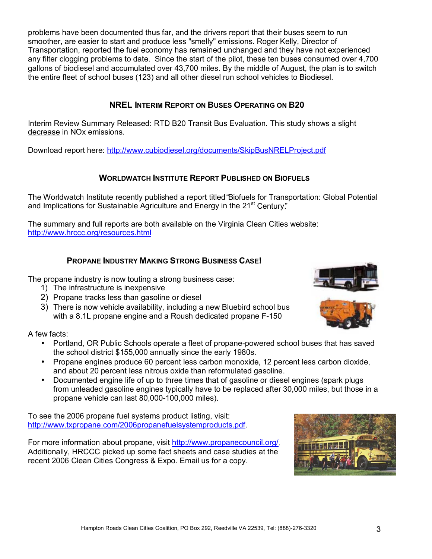problems have been documented thus far, and the drivers report that their buses seem to run smoother, are easier to start and produce less "smelly" emissions. Roger Kelly, Director of Transportation, reported the fuel economy has remained unchanged and they have not experienced any filter clogging problems to date. Since the start of the pilot, these ten buses consumed over 4,700 gallons of biodiesel and accumulated over 43,700 miles. By the middle of August, the plan is to switch the entire fleet of school buses (123) and all other diesel run school vehicles to Biodiesel.

#### **NREL INTERIM REPORT ON BUSES OPERATING ON B20**

Interim Review Summary Released: RTD B20 Transit Bus Evaluation. This study shows a slight decrease in NOx emissions.

Download report here: http://www.cubiodiesel.org/documents/SkipBusNRELProject.pdf

#### **WORLDWATCH INSTITUTE REPORT PUBLISHED ON BIOFUELS**

The Worldwatch Institute recently published a report titled "Biofuels for Transportation: Global Potential and Implications for Sustainable Agriculture and Energy in the 21<sup>st</sup> Century.<sup>n</sup>

The summary and full reports are both available on the Virginia Clean Cities website: http://www.hrccc.org/resources.html

#### **PROPANE INDUSTRY MAKING STRONG BUSINESS CASE!**

The propane industry is now touting a strong business case:

- 1) The infrastructure is inexpensive
- 2) Propane tracks less than gasoline or diesel
- 3) There is now vehicle availability, including a new Bluebird school bus with a 8.1L propane engine and a Roush dedicated propane F-150

A few facts:

- Portland, OR Public Schools operate a fleet of propane-powered school buses that has saved the school district \$155,000 annually since the early 1980s.
- Propane engines produce 60 percent less carbon monoxide, 12 percent less carbon dioxide, and about 20 percent less nitrous oxide than reformulated gasoline.
- Documented engine life of up to three times that of gasoline or diesel engines (spark plugs) from unleaded gasoline engines typically have to be replaced after 30,000 miles, but those in a propane vehicle can last 80,000-100,000 miles).

To see the 2006 propane fuel systems product listing, visit: http://www.txpropane.com/2006propanefuelsystemproducts.pdf.

For more information about propane, visit http://www.propanecouncil.org/. Additionally, HRCCC picked up some fact sheets and case studies at the recent 2006 Clean Cities Congress & Expo. Email us for a copy.





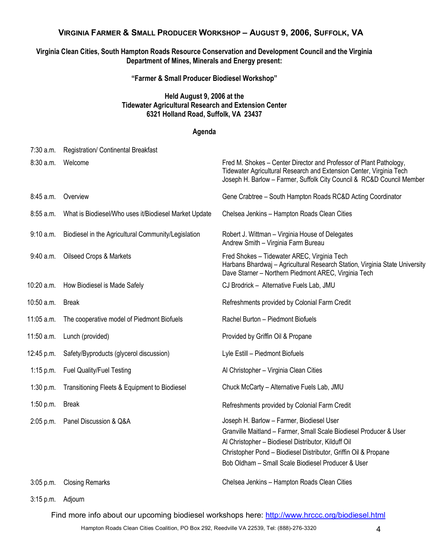## **VIRGINIA FARMER & SMALL PRODUCER WORKSHOP - AUGUST 9, 2006, SUFFOLK, VA**

#### **Virginia Clean Cities, South Hampton Roads Resource Conservation and Development Council and the Virginia Department of Mines, Minerals and Energy present:**

**ìFarmer & Small Producer Biodiesel Workshopî** 

#### **Held August 9, 2006 at the Tidewater Agricultural Research and Extension Center 6321 Holland Road, Suffolk, VA 23437**

#### **Agenda**

| 7:30 a.m.   | Registration/ Continental Breakfast                   |                                                                                                                                                                                                                                                                                                 |
|-------------|-------------------------------------------------------|-------------------------------------------------------------------------------------------------------------------------------------------------------------------------------------------------------------------------------------------------------------------------------------------------|
| 8:30 a.m.   | Welcome                                               | Fred M. Shokes – Center Director and Professor of Plant Pathology,<br>Tidewater Agricultural Research and Extension Center, Virginia Tech<br>Joseph H. Barlow - Farmer, Suffolk City Council & RC&D Council Member                                                                              |
| 8:45 a.m.   | Overview                                              | Gene Crabtree - South Hampton Roads RC&D Acting Coordinator                                                                                                                                                                                                                                     |
| 8:55 a.m.   | What is Biodiesel/Who uses it/Biodiesel Market Update | Chelsea Jenkins - Hampton Roads Clean Cities                                                                                                                                                                                                                                                    |
| 9:10 a.m.   | Biodiesel in the Agricultural Community/Legislation   | Robert J. Wittman – Virginia House of Delegates<br>Andrew Smith - Virginia Farm Bureau                                                                                                                                                                                                          |
| 9:40 a.m.   | <b>Oilseed Crops &amp; Markets</b>                    | Fred Shokes - Tidewater AREC, Virginia Tech<br>Harbans Bhardwaj - Agricultural Research Station, Virginia State University<br>Dave Starner - Northern Piedmont AREC, Virginia Tech                                                                                                              |
| 10:20 a.m.  | How Biodiesel is Made Safely                          | CJ Brodrick - Alternative Fuels Lab, JMU                                                                                                                                                                                                                                                        |
| 10:50 a.m.  | <b>Break</b>                                          | Refreshments provided by Colonial Farm Credit                                                                                                                                                                                                                                                   |
| 11:05 a.m.  | The cooperative model of Piedmont Biofuels            | Rachel Burton - Piedmont Biofuels                                                                                                                                                                                                                                                               |
| 11:50 a.m.  | Lunch (provided)                                      | Provided by Griffin Oil & Propane                                                                                                                                                                                                                                                               |
| 12:45 p.m.  | Safety/Byproducts (glycerol discussion)               | Lyle Estill - Piedmont Biofuels                                                                                                                                                                                                                                                                 |
| 1:15 p.m.   | <b>Fuel Quality/Fuel Testing</b>                      | Al Christopher - Virginia Clean Cities                                                                                                                                                                                                                                                          |
| 1:30 p.m.   | Transitioning Fleets & Equipment to Biodiesel         | Chuck McCarty - Alternative Fuels Lab, JMU                                                                                                                                                                                                                                                      |
| 1:50 p.m.   | <b>Break</b>                                          | Refreshments provided by Colonial Farm Credit                                                                                                                                                                                                                                                   |
| 2:05 p.m.   | Panel Discussion & Q&A                                | Joseph H. Barlow - Farmer, Biodiesel User<br>Granville Maitland - Farmer, Small Scale Biodiesel Producer & User<br>Al Christopher - Biodiesel Distributor, Kilduff Oil<br>Christopher Pond - Biodiesel Distributor, Griffin Oil & Propane<br>Bob Oldham - Small Scale Biodiesel Producer & User |
| $3:05$ p.m. | <b>Closing Remarks</b>                                | Chelsea Jenkins - Hampton Roads Clean Cities                                                                                                                                                                                                                                                    |

3:15 p.m. Adjourn

Find more info about our upcoming biodiesel workshops here: http://www.hrccc.org/biodiesel.html

Hampton Roads Clean Cities Coalition, PO Box 292, Reedville VA 22539, Tel: (888)-276-3320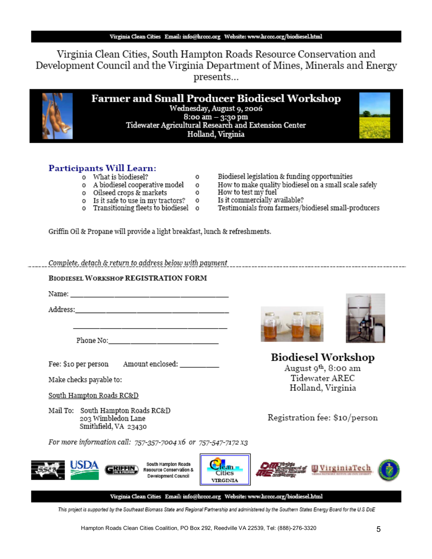Virginia Clean Cities, South Hampton Roads Resource Conservation and Development Council and the Virginia Department of Mines, Minerals and Energy presents...

> **Farmer and Small Producer Biodiesel Workshop** Wednesday, August 9, 2006  $8:$ oo am  $-3:3$ o pm Tidewater Agricultural Research and Extension Center Holland, Virginia

> > 0

 $^{\circ}$ 

 $\circ$ 



- o What is biodiesel?
	- o A biodiesel cooperative model
	- o Oilseed crops & markets
	- o Is it safe to use in my tractors?
	- $\circ$ o Transitioning fleets to biodiesel o
- Biodiesel legislation & funding opportunities
- How to make quality biodiesel on a small scale safely
- How to test my fuel
- Is it commercially available?
- Testimonials from farmers/biodiesel small-producers

Griffin Oil & Propane will provide a light breakfast, lunch & refreshments.

#### **BIODIESEL WORKSHOP REGISTRATION FORM**

Name: when the contract of the contract of the contract of the contract of the contract of the contract of the contract of the contract of the contract of the contract of the contract of the contract of the contract of the

Address: the contract of the contract of the contract of the contract of the contract of the contract of the contract of the contract of the contract of the contract of the contract of the contract of the contract of the c

Phone No:

Fee: \$10 per person Amount enclosed: \_\_\_\_\_\_\_\_\_\_

Make checks payable to:

South Hampton Roads RC&D

Mail To: South Hampton Roads RC&D 203 Wimbledon Lane Smithfield, VA 23430

For more information call: 757-357-7004 x6 or 757-547-7172 x3









**Biodiesel Workshop** August 9<sup>th</sup>, 8:00 am Tidewater AREC Holland, Virginia

Registration fee: \$10/person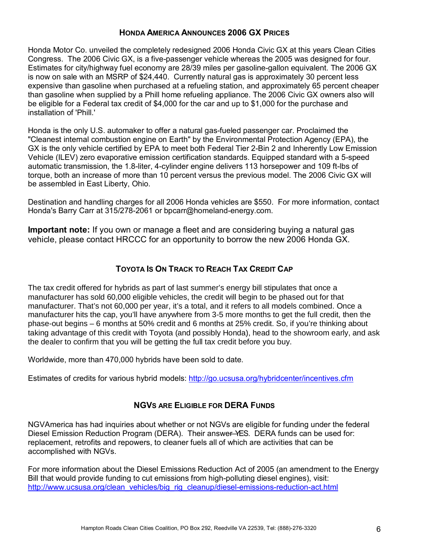#### **HONDA AMERICA ANNOUNCES 2006 GX PRICES**

Honda Motor Co. unveiled the completely redesigned 2006 Honda Civic GX at this years Clean Cities Congress. The 2006 Civic GX, is a five-passenger vehicle whereas the 2005 was designed for four. Estimates for city/highway fuel economy are 28/39 miles per gasoline-gallon equivalent. The 2006 GX is now on sale with an MSRP of \$24,440. Currently natural gas is approximately 30 percent less expensive than gasoline when purchased at a refueling station, and approximately 65 percent cheaper than gasoline when supplied by a Phill home refueling appliance. The 2006 Civic GX owners also will be eligible for a Federal tax credit of \$4,000 for the car and up to \$1,000 for the purchase and installation of 'Phill.'

Honda is the only U.S. automaker to offer a natural gas-fueled passenger car. Proclaimed the "Cleanest internal combustion engine on Earth" by the Environmental Protection Agency (EPA), the GX is the only vehicle certified by EPA to meet both Federal Tier 2-Bin 2 and Inherently Low Emission Vehicle (ILEV) zero evaporative emission certification standards. Equipped standard with a 5-speed automatic transmission, the 1.8-liter, 4-cylinder engine delivers 113 horsepower and 109 ft-lbs of torque, both an increase of more than 10 percent versus the previous model. The 2006 Civic GX will be assembled in East Liberty, Ohio.

Destination and handling charges for all 2006 Honda vehicles are \$550. For more information, contact Honda's Barry Carr at 315/278-2061 or bpcarr@homeland-energy.com.

**Important note:** If you own or manage a fleet and are considering buying a natural gas vehicle, please contact HRCCC for an opportunity to borrow the new 2006 Honda GX.

#### **TOYOTA IS ON TRACK TO REACH TAX CREDIT CAP**

The tax credit offered for hybrids as part of last summer's energy bill stipulates that once a manufacturer has sold 60,000 eligible vehicles, the credit will begin to be phased out for that manufacturer. That's not 60,000 per year, it's a total, and it refers to all models combined. Once a manufacturer hits the cap, you'll have anywhere from 3-5 more months to get the full credit, then the phase-out begins – 6 months at 50% credit and 6 months at 25% credit. So, if you're thinking about taking advantage of this credit with Toyota (and possibly Honda), head to the showroom early, and ask the dealer to confirm that you will be getting the full tax credit before you buy.

Worldwide, more than 470,000 hybrids have been sold to date.

Estimates of credits for various hybrid models: http://go.ucsusa.org/hybridcenter/incentives.cfm

#### **NGVS ARE ELIGIBLE FOR DERA FUNDS**

NGVAmerica has had inquiries about whether or not NGVs are eligible for funding under the federal Diesel Emission Reduction Program (DERA). Their answer–YES. DERA funds can be used for: replacement, retrofits and repowers, to cleaner fuels all of which are activities that can be accomplished with NGVs.

For more information about the Diesel Emissions Reduction Act of 2005 (an amendment to the Energy Bill that would provide funding to cut emissions from high-polluting diesel engines), visit: http://www.ucsusa.org/clean\_vehicles/big\_rig\_cleanup/diesel-emissions-reduction-act.html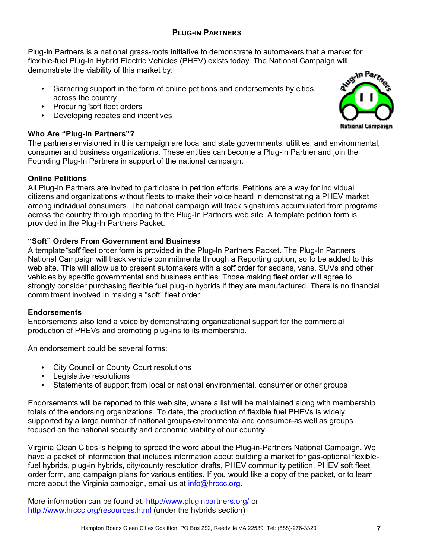#### **PLUG-IN PARTNERS**

Plug-In Partners is a national grass-roots initiative to demonstrate to automakers that a market for flexible-fuel Plug-In Hybrid Electric Vehicles (PHEV) exists today. The National Campaign will demonstrate the viability of this market by:

- Garnering support in the form of online petitions and endorsements by cities across the country
- Procuring "soft" fleet orders
- Developing rebates and incentives

### **Who Are "Plug-In Partners"?**

The partners envisioned in this campaign are local and state governments, utilities, and environmental, consumer and business organizations. These entities can become a Plug-In Partner and join the Founding Plug-In Partners in support of the national campaign.

#### **Online Petitions**

All Plug-In Partners are invited to participate in petition efforts. Petitions are a way for individual citizens and organizations without fleets to make their voice heard in demonstrating a PHEV market among individual consumers. The national campaign will track signatures accumulated from programs across the country through reporting to the Plug-In Partners web site. A template petition form is provided in the Plug-In Partners Packet.

#### **ìSoftî Orders From Government and Business**

A template "soft" fleet order form is provided in the Plug-In Partners Packet. The Plug-In Partners National Campaign will track vehicle commitments through a Reporting option, so to be added to this web site. This will allow us to present automakers with a "soft" order for sedans, vans, SUVs and other vehicles by specific governmental and business entities. Those making fleet order will agree to strongly consider purchasing flexible fuel plug-in hybrids if they are manufactured. There is no financial commitment involved in making a "soft" fleet order.

#### **Endorsements**

Endorsements also lend a voice by demonstrating organizational support for the commercial production of PHEVs and promoting plug-ins to its membership.

An endorsement could be several forms:

- City Council or County Court resolutions
- Legislative resolutions
- Statements of support from local or national environmental, consumer or other groups

Endorsements will be reported to this web site, where a list will be maintained along with membership totals of the endorsing organizations. To date, the production of flexible fuel PHEVs is widely supported by a large number of national groups environmental and consumer as well as groups focused on the national security and economic viability of our country.

Virginia Clean Cities is helping to spread the word about the Plug-in-Partners National Campaign. We have a packet of information that includes information about building a market for gas-optional flexiblefuel hybrids, plug-in hybrids, city/county resolution drafts, PHEV community petition, PHEV soft fleet order form, and campaign plans for various entities. If you would like a copy of the packet, or to learn more about the Virginia campaign, email us at info@hrccc.org.

More information can be found at: http://www.pluginpartners.org/ or http://www.hrccc.org/resources.html (under the hybrids section)

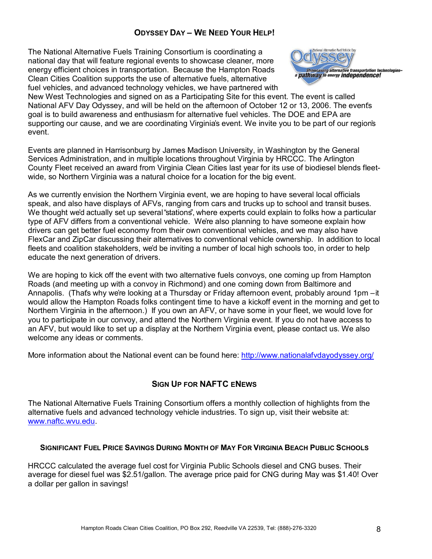### **ODYSSEY DAY - WE NEED YOUR HELP!**

The National Alternative Fuels Training Consortium is coordinating a national day that will feature regional events to showcase cleaner, more energy efficient choices in transportation. Because the Hampton Roads Clean Cities Coalition supports the use of alternative fuels, alternative fuel vehicles, and advanced technology vehicles, we have partnered with



New West Technologies and signed on as a Participating Site for this event. The event is called National AFV Day Odyssey, and will be held on the afternoon of October 12 or 13, 2006. The eventís goal is to build awareness and enthusiasm for alternative fuel vehicles. The DOE and EPA are supporting our cause, and we are coordinating Virginia's event. We invite you to be part of our region's event.

Events are planned in Harrisonburg by James Madison University, in Washington by the General Services Administration, and in multiple locations throughout Virginia by HRCCC. The Arlington County Fleet received an award from Virginia Clean Cities last year for its use of biodiesel blends fleetwide, so Northern Virginia was a natural choice for a location for the big event.

As we currently envision the Northern Virginia event, we are hoping to have several local officials speak, and also have displays of AFVs, ranging from cars and trucks up to school and transit buses. We thought we'd actually set up several "stations", where experts could explain to folks how a particular type of AFV differs from a conventional vehicle. Weíre also planning to have someone explain how drivers can get better fuel economy from their own conventional vehicles, and we may also have FlexCar and ZipCar discussing their alternatives to conventional vehicle ownership. In addition to local fleets and coalition stakeholders, weíd be inviting a number of local high schools too, in order to help educate the next generation of drivers.

We are hoping to kick off the event with two alternative fuels convoys, one coming up from Hampton Roads (and meeting up with a convoy in Richmond) and one coming down from Baltimore and Annapolis. (That's why we're looking at a Thursday or Friday afternoon event, probably around 1pm – it would allow the Hampton Roads folks contingent time to have a kickoff event in the morning and get to Northern Virginia in the afternoon.) If you own an AFV, or have some in your fleet, we would love for you to participate in our convoy, and attend the Northern Virginia event. If you do not have access to an AFV, but would like to set up a display at the Northern Virginia event, please contact us. We also welcome any ideas or comments.

More information about the National event can be found here: http://www.nationalafvdayodyssey.org/

#### **SIGN UP FOR NAFTC ENEWS**

The National Alternative Fuels Training Consortium offers a monthly collection of highlights from the alternative fuels and advanced technology vehicle industries. To sign up, visit their website at: www.naftc.wvu.edu.

#### **SIGNIFICANT FUEL PRICE SAVINGS DURING MONTH OF MAY FOR VIRGINIA BEACH PUBLIC SCHOOLS**

HRCCC calculated the average fuel cost for Virginia Public Schools diesel and CNG buses. Their average for diesel fuel was \$2.51/gallon. The average price paid for CNG during May was \$1.40! Over a dollar per gallon in savings!